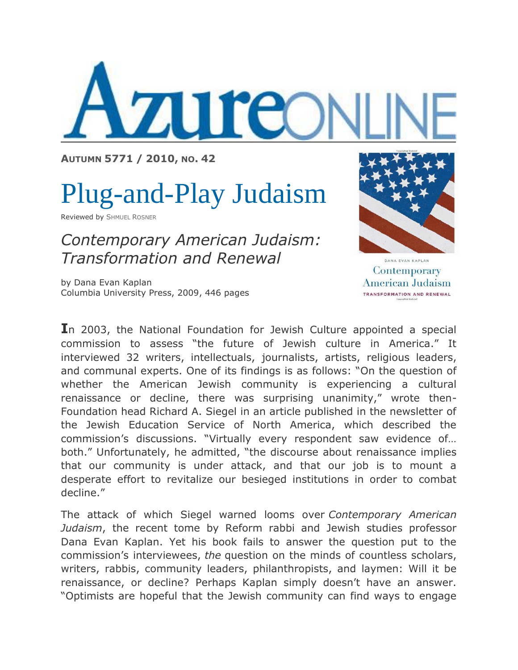

**AUTUMN 5771 / [2010,](http://www.azure.org.il/issues.php?id=55) NO. 42**

## Plug-and-Play Judaism

Reviewed by S[HMUEL](http://www.azure.org.il/authors.php?id=259) ROSNER

*Contemporary American Judaism: Transformation and Renewal* 

by Dana Evan Kaplan Columbia University Press, 2009, 446 pages



DANA EVAN KAPLAN Contemporary American Judaism TRANSFORMATION AND RENEWAL

**I**n 2003, the National Foundation for Jewish Culture appointed a special commission to assess "the future of Jewish culture in America." It interviewed 32 writers, intellectuals, journalists, artists, religious leaders, and communal experts. One of its findings is as follows: "On the question of whether the American Jewish community is experiencing a cultural renaissance or decline, there was surprising unanimity," wrote then-Foundation head Richard A. Siegel in an article published in the newsletter of the Jewish Education Service of North America, which described the commission's discussions. "Virtually every respondent saw evidence of… both." Unfortunately, he admitted, "the discourse about renaissance implies that our community is under attack, and that our job is to mount a desperate effort to revitalize our besieged institutions in order to combat decline."

The attack of which Siegel warned looms over *Contemporary American Judaism*, the recent tome by Reform rabbi and Jewish studies professor Dana Evan Kaplan. Yet his book fails to answer the question put to the commission's interviewees, *the* question on the minds of countless scholars, writers, rabbis, community leaders, philanthropists, and laymen: Will it be renaissance, or decline? Perhaps Kaplan simply doesn't have an answer. "Optimists are hopeful that the Jewish community can find ways to engage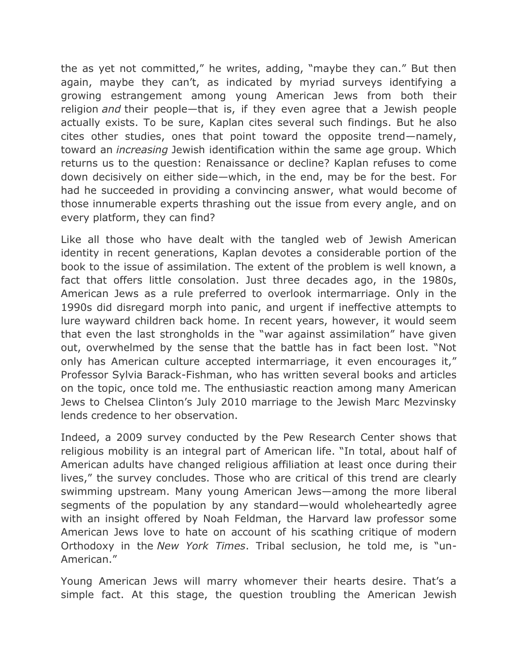the as yet not committed," he writes, adding, "maybe they can." But then again, maybe they can't, as indicated by myriad surveys identifying a growing estrangement among young American Jews from both their religion *and* their people—that is, if they even agree that a Jewish people actually exists. To be sure, Kaplan cites several such findings. But he also cites other studies, ones that point toward the opposite trend—namely, toward an *increasing* Jewish identification within the same age group. Which returns us to the question: Renaissance or decline? Kaplan refuses to come down decisively on either side—which, in the end, may be for the best. For had he succeeded in providing a convincing answer, what would become of those innumerable experts thrashing out the issue from every angle, and on every platform, they can find?

Like all those who have dealt with the tangled web of Jewish American identity in recent generations, Kaplan devotes a considerable portion of the book to the issue of assimilation. The extent of the problem is well known, a fact that offers little consolation. Just three decades ago, in the 1980s, American Jews as a rule preferred to overlook intermarriage. Only in the 1990s did disregard morph into panic, and urgent if ineffective attempts to lure wayward children back home. In recent years, however, it would seem that even the last strongholds in the "war against assimilation" have given out, overwhelmed by the sense that the battle has in fact been lost. "Not only has American culture accepted intermarriage, it even encourages it," Professor Sylvia Barack-Fishman, who has written several books and articles on the topic, once told me. The enthusiastic reaction among many American Jews to Chelsea Clinton's July 2010 marriage to the Jewish Marc Mezvinsky lends credence to her observation.

Indeed, a 2009 survey conducted by the Pew Research Center shows that religious mobility is an integral part of American life. "In total, about half of American adults have changed religious affiliation at least once during their lives," the survey concludes. Those who are critical of this trend are clearly swimming upstream. Many young American Jews—among the more liberal segments of the population by any standard—would wholeheartedly agree with an insight offered by Noah Feldman, the Harvard law professor some American Jews love to hate on account of his scathing critique of modern Orthodoxy in the *New York Times*. Tribal seclusion, he told me, is "un-American."

Young American Jews will marry whomever their hearts desire. That's a simple fact. At this stage, the question troubling the American Jewish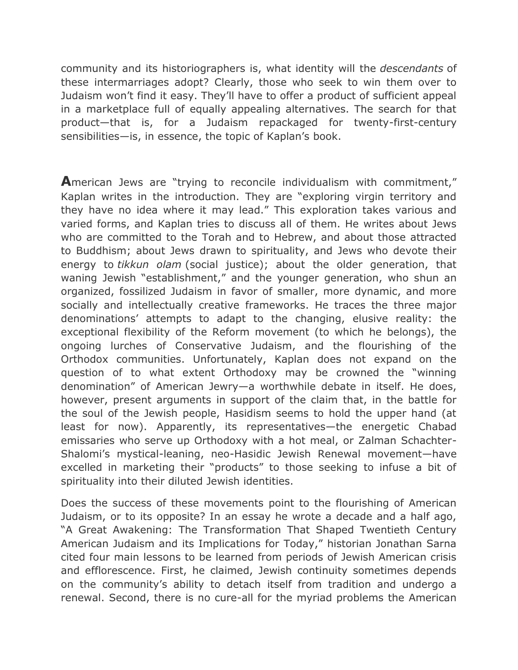community and its historiographers is, what identity will the *descendants* of these intermarriages adopt? Clearly, those who seek to win them over to Judaism won't find it easy. They'll have to offer a product of sufficient appeal in a marketplace full of equally appealing alternatives. The search for that product—that is, for a Judaism repackaged for twenty-first-century sensibilities—is, in essence, the topic of Kaplan's book.

**A**merican Jews are "trying to reconcile individualism with commitment," Kaplan writes in the introduction. They are "exploring virgin territory and they have no idea where it may lead." This exploration takes various and varied forms, and Kaplan tries to discuss all of them. He writes about Jews who are committed to the Torah and to Hebrew, and about those attracted to Buddhism; about Jews drawn to spirituality, and Jews who devote their energy to *tikkun olam* (social justice); about the older generation, that waning Jewish "establishment," and the younger generation, who shun an organized, fossilized Judaism in favor of smaller, more dynamic, and more socially and intellectually creative frameworks. He traces the three major denominations' attempts to adapt to the changing, elusive reality: the exceptional flexibility of the Reform movement (to which he belongs), the ongoing lurches of Conservative Judaism, and the flourishing of the Orthodox communities. Unfortunately, Kaplan does not expand on the question of to what extent Orthodoxy may be crowned the "winning denomination" of American Jewry—a worthwhile debate in itself. He does, however, present arguments in support of the claim that, in the battle for the soul of the Jewish people, Hasidism seems to hold the upper hand (at least for now). Apparently, its representatives—the energetic Chabad emissaries who serve up Orthodoxy with a hot meal, or Zalman Schachter-Shalomi's mystical-leaning, neo-Hasidic Jewish Renewal movement—have excelled in marketing their "products" to those seeking to infuse a bit of spirituality into their diluted Jewish identities.

Does the success of these movements point to the flourishing of American Judaism, or to its opposite? In an essay he wrote a decade and a half ago, "A Great Awakening: The Transformation That Shaped Twentieth Century American Judaism and its Implications for Today," historian Jonathan Sarna cited four main lessons to be learned from periods of Jewish American crisis and efflorescence. First, he claimed, Jewish continuity sometimes depends on the community's ability to detach itself from tradition and undergo a renewal. Second, there is no cure-all for the myriad problems the American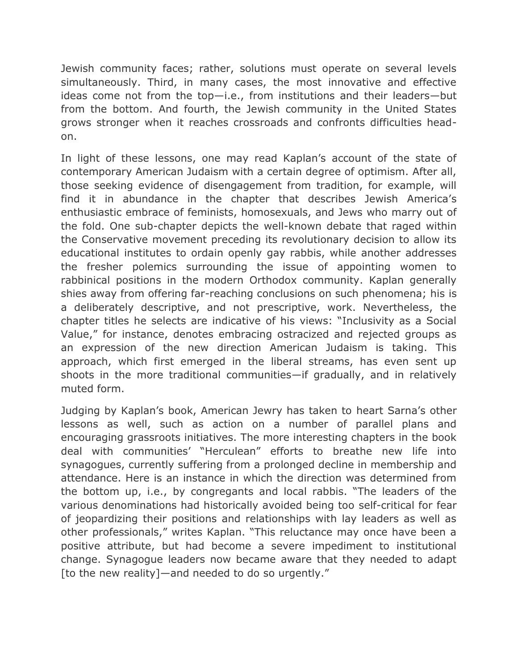Jewish community faces; rather, solutions must operate on several levels simultaneously. Third, in many cases, the most innovative and effective ideas come not from the top—i.e., from institutions and their leaders—but from the bottom. And fourth, the Jewish community in the United States grows stronger when it reaches crossroads and confronts difficulties headon.

In light of these lessons, one may read Kaplan's account of the state of contemporary American Judaism with a certain degree of optimism. After all, those seeking evidence of disengagement from tradition, for example, will find it in abundance in the chapter that describes Jewish America's enthusiastic embrace of feminists, homosexuals, and Jews who marry out of the fold. One sub-chapter depicts the well-known debate that raged within the Conservative movement preceding its revolutionary decision to allow its educational institutes to ordain openly gay rabbis, while another addresses the fresher polemics surrounding the issue of appointing women to rabbinical positions in the modern Orthodox community. Kaplan generally shies away from offering far-reaching conclusions on such phenomena; his is a deliberately descriptive, and not prescriptive, work. Nevertheless, the chapter titles he selects are indicative of his views: "Inclusivity as a Social Value," for instance, denotes embracing ostracized and rejected groups as an expression of the new direction American Judaism is taking. This approach, which first emerged in the liberal streams, has even sent up shoots in the more traditional communities—if gradually, and in relatively muted form.

Judging by Kaplan's book, American Jewry has taken to heart Sarna's other lessons as well, such as action on a number of parallel plans and encouraging grassroots initiatives. The more interesting chapters in the book deal with communities' "Herculean" efforts to breathe new life into synagogues, currently suffering from a prolonged decline in membership and attendance. Here is an instance in which the direction was determined from the bottom up, i.e., by congregants and local rabbis. "The leaders of the various denominations had historically avoided being too self-critical for fear of jeopardizing their positions and relationships with lay leaders as well as other professionals," writes Kaplan. "This reluctance may once have been a positive attribute, but had become a severe impediment to institutional change. Synagogue leaders now became aware that they needed to adapt [to the new reality]—and needed to do so urgently."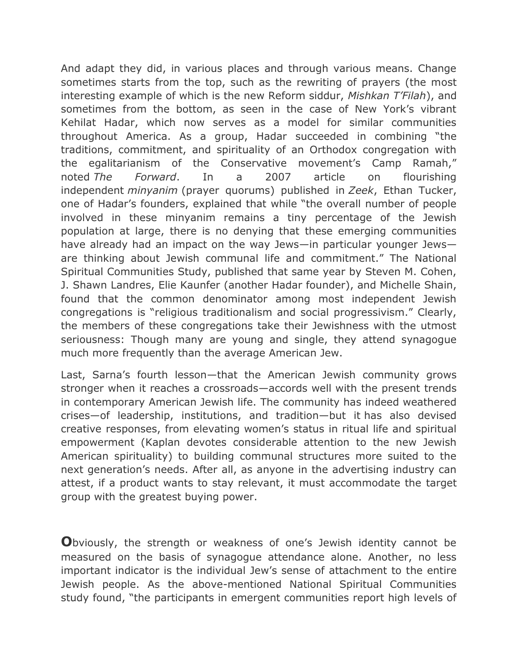And adapt they did, in various places and through various means. Change sometimes starts from the top, such as the rewriting of prayers (the most interesting example of which is the new Reform siddur, *Mishkan T'Filah*), and sometimes from the bottom, as seen in the case of New York's vibrant Kehilat Hadar, which now serves as a model for similar communities throughout America. As a group, Hadar succeeded in combining "the traditions, commitment, and spirituality of an Orthodox congregation with the egalitarianism of the Conservative movement's Camp Ramah," noted *The Forward*. In a 2007 article on flourishing independent *minyanim* (prayer quorums) published in *Zeek*, Ethan Tucker, one of Hadar's founders, explained that while "the overall number of people involved in these minyanim remains a tiny percentage of the Jewish population at large, there is no denying that these emerging communities have already had an impact on the way Jews—in particular younger Jews are thinking about Jewish communal life and commitment." The National Spiritual Communities Study, published that same year by Steven M. Cohen, J. Shawn Landres, Elie Kaunfer (another Hadar founder), and Michelle Shain, found that the common denominator among most independent Jewish congregations is "religious traditionalism and social progressivism." Clearly, the members of these congregations take their Jewishness with the utmost seriousness: Though many are young and single, they attend synagogue much more frequently than the average American Jew.

Last, Sarna's fourth lesson—that the American Jewish community grows stronger when it reaches a crossroads—accords well with the present trends in contemporary American Jewish life. The community has indeed weathered crises—of leadership, institutions, and tradition—but it has also devised creative responses, from elevating women's status in ritual life and spiritual empowerment (Kaplan devotes considerable attention to the new Jewish American spirituality) to building communal structures more suited to the next generation's needs. After all, as anyone in the advertising industry can attest, if a product wants to stay relevant, it must accommodate the target group with the greatest buying power.

**O**bviously, the strength or weakness of one's Jewish identity cannot be measured on the basis of synagogue attendance alone. Another, no less important indicator is the individual Jew's sense of attachment to the entire Jewish people. As the above-mentioned National Spiritual Communities study found, "the participants in emergent communities report high levels of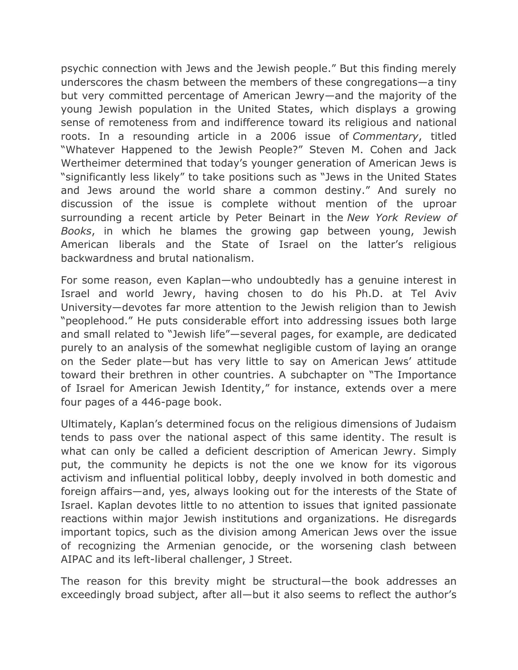psychic connection with Jews and the Jewish people." But this finding merely underscores the chasm between the members of these congregations—a tiny but very committed percentage of American Jewry—and the majority of the young Jewish population in the United States, which displays a growing sense of remoteness from and indifference toward its religious and national roots. In a resounding article in a 2006 issue of *Commentary*, titled "Whatever Happened to the Jewish People?" Steven M. Cohen and Jack Wertheimer determined that today's younger generation of American Jews is "significantly less likely" to take positions such as "Jews in the United States and Jews around the world share a common destiny." And surely no discussion of the issue is complete without mention of the uproar surrounding a recent article by Peter Beinart in the *New York Review of Books*, in which he blames the growing gap between young, Jewish American liberals and the State of Israel on the latter's religious backwardness and brutal nationalism.

For some reason, even Kaplan—who undoubtedly has a genuine interest in Israel and world Jewry, having chosen to do his Ph.D. at Tel Aviv University—devotes far more attention to the Jewish religion than to Jewish "peoplehood." He puts considerable effort into addressing issues both large and small related to "Jewish life"—several pages, for example, are dedicated purely to an analysis of the somewhat negligible custom of laying an orange on the Seder plate—but has very little to say on American Jews' attitude toward their brethren in other countries. A subchapter on "The Importance of Israel for American Jewish Identity," for instance, extends over a mere four pages of a 446-page book.

Ultimately, Kaplan's determined focus on the religious dimensions of Judaism tends to pass over the national aspect of this same identity. The result is what can only be called a deficient description of American Jewry. Simply put, the community he depicts is not the one we know for its vigorous activism and influential political lobby, deeply involved in both domestic and foreign affairs—and, yes, always looking out for the interests of the State of Israel. Kaplan devotes little to no attention to issues that ignited passionate reactions within major Jewish institutions and organizations. He disregards important topics, such as the division among American Jews over the issue of recognizing the Armenian genocide, or the worsening clash between AIPAC and its left-liberal challenger, J Street.

The reason for this brevity might be structural—the book addresses an exceedingly broad subject, after all—but it also seems to reflect the author's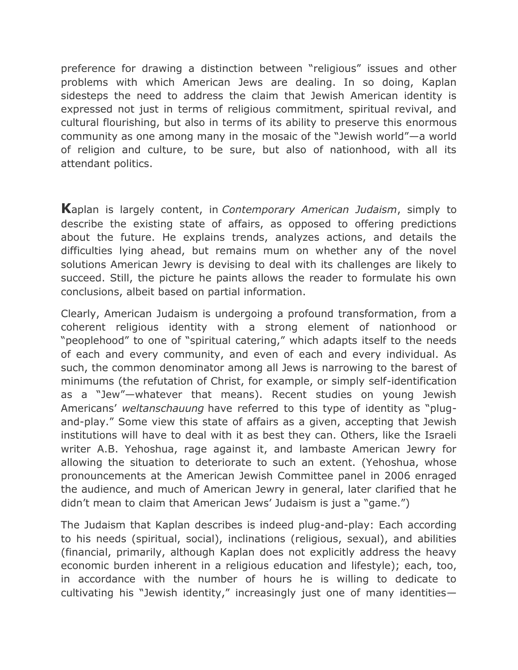preference for drawing a distinction between "religious" issues and other problems with which American Jews are dealing. In so doing, Kaplan sidesteps the need to address the claim that Jewish American identity is expressed not just in terms of religious commitment, spiritual revival, and cultural flourishing, but also in terms of its ability to preserve this enormous community as one among many in the mosaic of the "Jewish world"—a world of religion and culture, to be sure, but also of nationhood, with all its attendant politics.

**K**aplan is largely content, in *Contemporary American Judaism*, simply to describe the existing state of affairs, as opposed to offering predictions about the future. He explains trends, analyzes actions, and details the difficulties lying ahead, but remains mum on whether any of the novel solutions American Jewry is devising to deal with its challenges are likely to succeed. Still, the picture he paints allows the reader to formulate his own conclusions, albeit based on partial information.

Clearly, American Judaism is undergoing a profound transformation, from a coherent religious identity with a strong element of nationhood or "peoplehood" to one of "spiritual catering," which adapts itself to the needs of each and every community, and even of each and every individual. As such, the common denominator among all Jews is narrowing to the barest of minimums (the refutation of Christ, for example, or simply self-identification as a "Jew"—whatever that means). Recent studies on young Jewish Americans' *weltanschauung* have referred to this type of identity as "plugand-play." Some view this state of affairs as a given, accepting that Jewish institutions will have to deal with it as best they can. Others, like the Israeli writer A.B. Yehoshua, rage against it, and lambaste American Jewry for allowing the situation to deteriorate to such an extent. (Yehoshua, whose pronouncements at the American Jewish Committee panel in 2006 enraged the audience, and much of American Jewry in general, later clarified that he didn't mean to claim that American Jews' Judaism is just a "game.")

The Judaism that Kaplan describes is indeed plug-and-play: Each according to his needs (spiritual, social), inclinations (religious, sexual), and abilities (financial, primarily, although Kaplan does not explicitly address the heavy economic burden inherent in a religious education and lifestyle); each, too, in accordance with the number of hours he is willing to dedicate to cultivating his "Jewish identity," increasingly just one of many identities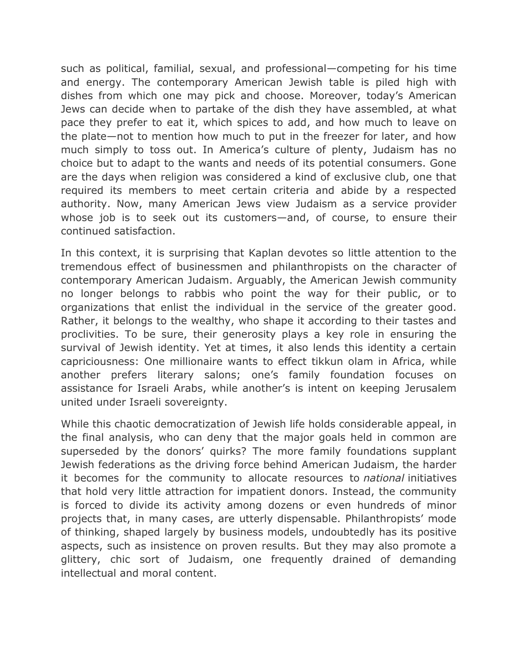such as political, familial, sexual, and professional—competing for his time and energy. The contemporary American Jewish table is piled high with dishes from which one may pick and choose. Moreover, today's American Jews can decide when to partake of the dish they have assembled, at what pace they prefer to eat it, which spices to add, and how much to leave on the plate—not to mention how much to put in the freezer for later, and how much simply to toss out. In America's culture of plenty, Judaism has no choice but to adapt to the wants and needs of its potential consumers. Gone are the days when religion was considered a kind of exclusive club, one that required its members to meet certain criteria and abide by a respected authority. Now, many American Jews view Judaism as a service provider whose job is to seek out its customers—and, of course, to ensure their continued satisfaction.

In this context, it is surprising that Kaplan devotes so little attention to the tremendous effect of businessmen and philanthropists on the character of contemporary American Judaism. Arguably, the American Jewish community no longer belongs to rabbis who point the way for their public, or to organizations that enlist the individual in the service of the greater good. Rather, it belongs to the wealthy, who shape it according to their tastes and proclivities. To be sure, their generosity plays a key role in ensuring the survival of Jewish identity. Yet at times, it also lends this identity a certain capriciousness: One millionaire wants to effect tikkun olam in Africa, while another prefers literary salons; one's family foundation focuses on assistance for Israeli Arabs, while another's is intent on keeping Jerusalem united under Israeli sovereignty.

While this chaotic democratization of Jewish life holds considerable appeal, in the final analysis, who can deny that the major goals held in common are superseded by the donors' quirks? The more family foundations supplant Jewish federations as the driving force behind American Judaism, the harder it becomes for the community to allocate resources to *national* initiatives that hold very little attraction for impatient donors. Instead, the community is forced to divide its activity among dozens or even hundreds of minor projects that, in many cases, are utterly dispensable. Philanthropists' mode of thinking, shaped largely by business models, undoubtedly has its positive aspects, such as insistence on proven results. But they may also promote a glittery, chic sort of Judaism, one frequently drained of demanding intellectual and moral content.